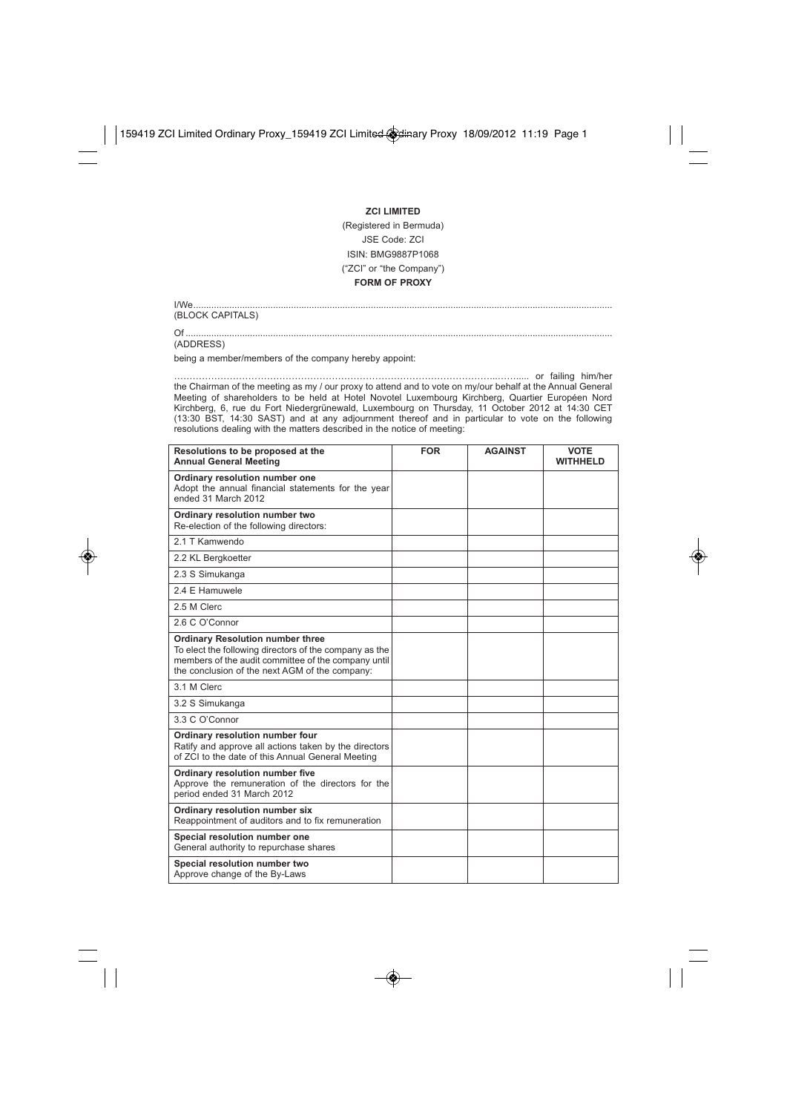## **ZCI LIMITED**

## (Registered in Bermuda) JSE Code: ZCI ISIN: BMG9887P1068 ("ZCI" or "the Company") **FORM OF PROXY**

I/We................................................................................................................................................................... (BLOCK CAPITALS)

Of ......................................................................................................................................................................

(ADDRESS)

being a member/members of the company hereby appoint:

…………………………………………………………………………………………...……..... or failing him/her the Chairman of the meeting as my / our proxy to attend and to vote on my/our behalf at the Annual General Meeting of shareholders to be held at Hotel Novotel Luxembourg Kirchberg, Quartier Européen Nord Kirchberg, 6, rue du Fort Niedergrünewald, Luxembourg on Thursday, 11 October 2012 at 14:30 CET (13:30 BST, 14:30 SAST) and at any adjournment thereof and in particular to vote on the following resolutions dealing with the matters described in the notice of meeting:

| Resolutions to be proposed at the<br><b>Annual General Meeting</b>                                                                                                                                         | <b>FOR</b> | <b>AGAINST</b> | <b>VOTE</b><br><b>WITHHELD</b> |
|------------------------------------------------------------------------------------------------------------------------------------------------------------------------------------------------------------|------------|----------------|--------------------------------|
| Ordinary resolution number one<br>Adopt the annual financial statements for the year<br>ended 31 March 2012                                                                                                |            |                |                                |
| Ordinary resolution number two<br>Re-election of the following directors:                                                                                                                                  |            |                |                                |
| 21 T Kamwendo                                                                                                                                                                                              |            |                |                                |
| 2.2 KL Bergkoetter                                                                                                                                                                                         |            |                |                                |
| 2.3 S Simukanga                                                                                                                                                                                            |            |                |                                |
| 2.4 E Hamuwele                                                                                                                                                                                             |            |                |                                |
| 2.5 M Clerc                                                                                                                                                                                                |            |                |                                |
| 2.6 C O'Connor                                                                                                                                                                                             |            |                |                                |
| <b>Ordinary Resolution number three</b><br>To elect the following directors of the company as the<br>members of the audit committee of the company until<br>the conclusion of the next AGM of the company: |            |                |                                |
| 3.1 M Clerc                                                                                                                                                                                                |            |                |                                |
| 3.2 S Simukanga                                                                                                                                                                                            |            |                |                                |
| 3.3 C O'Connor                                                                                                                                                                                             |            |                |                                |
| Ordinary resolution number four<br>Ratify and approve all actions taken by the directors<br>of ZCI to the date of this Annual General Meeting                                                              |            |                |                                |
| Ordinary resolution number five<br>Approve the remuneration of the directors for the<br>period ended 31 March 2012                                                                                         |            |                |                                |
| Ordinary resolution number six<br>Reappointment of auditors and to fix remuneration                                                                                                                        |            |                |                                |
| Special resolution number one<br>General authority to repurchase shares                                                                                                                                    |            |                |                                |
| Special resolution number two<br>Approve change of the By-Laws                                                                                                                                             |            |                |                                |